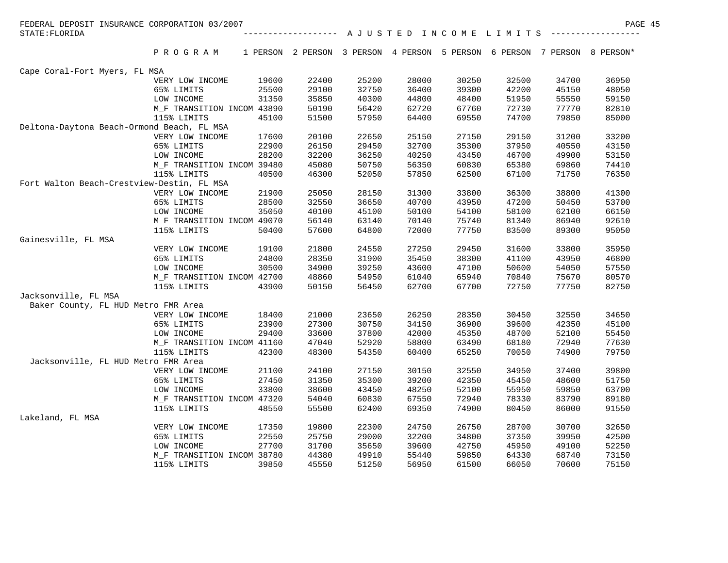| FEDERAL DEPOSIT INSURANCE CORPORATION 03/2007 |                                          |                |                     |                |                |                |                                                                          |                | PAGE 45        |
|-----------------------------------------------|------------------------------------------|----------------|---------------------|----------------|----------------|----------------|--------------------------------------------------------------------------|----------------|----------------|
| STATE: FLORIDA                                |                                          |                | ------------------- |                |                |                | A J U S T E D I N C O M E L I M I T S                                    |                |                |
|                                               | PROGRAM                                  |                |                     |                |                |                | 1 PERSON 2 PERSON 3 PERSON 4 PERSON 5 PERSON 6 PERSON 7 PERSON 8 PERSON* |                |                |
| Cape Coral-Fort Myers, FL MSA                 |                                          |                |                     |                |                |                |                                                                          |                |                |
|                                               | VERY LOW INCOME                          | 19600          | 22400               | 25200          | 28000          | 30250          | 32500                                                                    | 34700          | 36950          |
|                                               | 65% LIMITS                               | 25500          | 29100               | 32750          | 36400          | 39300          | 42200                                                                    | 45150          | 48050          |
|                                               | LOW INCOME                               | 31350          | 35850               | 40300          | 44800          | 48400          | 51950                                                                    | 55550          | 59150          |
|                                               | M F TRANSITION INCOM 43890               |                | 50190               | 56420          | 62720          | 67760          | 72730                                                                    | 77770          | 82810          |
|                                               | 115% LIMITS                              | 45100          | 51500               | 57950          | 64400          | 69550          | 74700                                                                    | 79850          | 85000          |
| Deltona-Daytona Beach-Ormond Beach, FL MSA    |                                          |                |                     |                |                |                |                                                                          |                |                |
|                                               | VERY LOW INCOME                          | 17600          | 20100               | 22650          | 25150          | 27150          | 29150                                                                    | 31200          | 33200          |
|                                               | 65% LIMITS                               | 22900          | 26150               | 29450          | 32700          | 35300          | 37950                                                                    | 40550          | 43150          |
|                                               | LOW INCOME                               | 28200          | 32200               | 36250          | 40250          | 43450          | 46700                                                                    | 49900          | 53150          |
|                                               | M_F TRANSITION INCOM 39480               |                | 45080               | 50750          | 56350          | 60830          | 65380                                                                    | 69860          | 74410          |
|                                               | 115% LIMITS                              | 40500          | 46300               | 52050          | 57850          | 62500          | 67100                                                                    | 71750          | 76350          |
| Fort Walton Beach-Crestview-Destin, FL MSA    |                                          |                |                     |                |                |                |                                                                          |                |                |
|                                               | VERY LOW INCOME                          | 21900          | 25050               | 28150          | 31300          | 33800          | 36300                                                                    | 38800          | 41300          |
|                                               | 65% LIMITS                               | 28500          | 32550               | 36650          | 40700          | 43950          | 47200                                                                    | 50450          | 53700          |
|                                               | LOW INCOME                               | 35050          | 40100               | 45100          | 50100          | 54100          | 58100                                                                    | 62100          | 66150          |
|                                               | M_F TRANSITION INCOM 49070               |                | 56140               | 63140          | 70140          | 75740          | 81340                                                                    | 86940          | 92610          |
|                                               | 115% LIMITS                              | 50400          | 57600               | 64800          | 72000          | 77750          | 83500                                                                    | 89300          | 95050          |
| Gainesville, FL MSA                           |                                          |                |                     |                |                |                |                                                                          |                |                |
|                                               | VERY LOW INCOME                          | 19100          | 21800               | 24550          | 27250          | 29450          | 31600                                                                    | 33800          | 35950          |
|                                               | 65% LIMITS                               | 24800<br>30500 | 28350               | 31900          | 35450<br>43600 | 38300          | 41100                                                                    | 43950          | 46800<br>57550 |
|                                               | LOW INCOME<br>M_F TRANSITION INCOM 42700 |                | 34900<br>48860      | 39250<br>54950 | 61040          | 47100<br>65940 | 50600<br>70840                                                           | 54050<br>75670 | 80570          |
|                                               | 115% LIMITS                              | 43900          | 50150               | 56450          | 62700          | 67700          | 72750                                                                    | 77750          | 82750          |
| Jacksonville, FL MSA                          |                                          |                |                     |                |                |                |                                                                          |                |                |
| Baker County, FL HUD Metro FMR Area           |                                          |                |                     |                |                |                |                                                                          |                |                |
|                                               | VERY LOW INCOME                          | 18400          | 21000               | 23650          | 26250          | 28350          | 30450                                                                    | 32550          | 34650          |
|                                               | 65% LIMITS                               | 23900          | 27300               | 30750          | 34150          | 36900          | 39600                                                                    | 42350          | 45100          |
|                                               | LOW INCOME                               | 29400          | 33600               | 37800          | 42000          | 45350          | 48700                                                                    | 52100          | 55450          |
|                                               | M_F TRANSITION INCOM 41160               |                | 47040               | 52920          | 58800          | 63490          | 68180                                                                    | 72940          | 77630          |
|                                               | 115% LIMITS                              | 42300          | 48300               | 54350          | 60400          | 65250          | 70050                                                                    | 74900          | 79750          |
| Jacksonville, FL HUD Metro FMR Area           |                                          |                |                     |                |                |                |                                                                          |                |                |
|                                               | VERY LOW INCOME                          | 21100          | 24100               | 27150          | 30150          | 32550          | 34950                                                                    | 37400          | 39800          |
|                                               | 65% LIMITS                               | 27450          | 31350               | 35300          | 39200          | 42350          | 45450                                                                    | 48600          | 51750          |
|                                               | LOW INCOME                               | 33800          | 38600               | 43450          | 48250          | 52100          | 55950                                                                    | 59850          | 63700          |
|                                               | M_F TRANSITION INCOM 47320               |                | 54040               | 60830          | 67550          | 72940          | 78330                                                                    | 83790          | 89180          |
|                                               | 115% LIMITS                              | 48550          | 55500               | 62400          | 69350          | 74900          | 80450                                                                    | 86000          | 91550          |
| Lakeland, FL MSA                              |                                          |                |                     |                |                |                |                                                                          |                |                |
|                                               | VERY LOW INCOME                          | 17350          | 19800               | 22300          | 24750          | 26750          | 28700                                                                    | 30700          | 32650          |
|                                               | 65% LIMITS                               | 22550          | 25750               | 29000          | 32200          | 34800          | 37350                                                                    | 39950          | 42500          |
|                                               | LOW INCOME                               | 27700          | 31700               | 35650          | 39600          | 42750          | 45950                                                                    | 49100          | 52250          |
|                                               | M_F TRANSITION INCOM 38780               |                | 44380               | 49910          | 55440          | 59850          | 64330                                                                    | 68740          | 73150          |
|                                               | 115% LIMITS                              | 39850          | 45550               | 51250          | 56950          | 61500          | 66050                                                                    | 70600          | 75150          |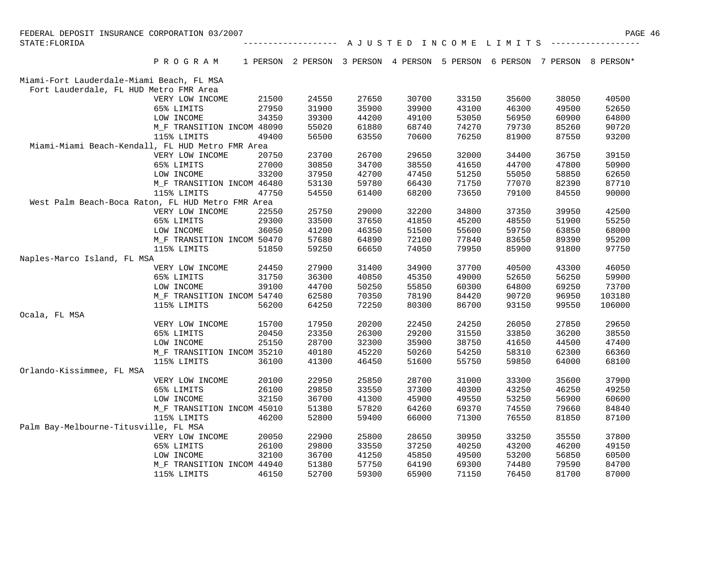| FEDERAL DEPOSIT INSURANCE CORPORATION 03/2007 |                                                   |       |       |       |                                                                          |       |       |       | PAGE 46 |  |
|-----------------------------------------------|---------------------------------------------------|-------|-------|-------|--------------------------------------------------------------------------|-------|-------|-------|---------|--|
| STATE: FLORIDA                                | A J U S T E D I N C O M E L I M I T S             |       |       |       |                                                                          |       |       |       |         |  |
|                                               | PROGRAM                                           |       |       |       | 1 PERSON 2 PERSON 3 PERSON 4 PERSON 5 PERSON 6 PERSON 7 PERSON 8 PERSON* |       |       |       |         |  |
| Miami-Fort Lauderdale-Miami Beach, FL MSA     |                                                   |       |       |       |                                                                          |       |       |       |         |  |
| Fort Lauderdale, FL HUD Metro FMR Area        |                                                   |       |       |       |                                                                          |       |       |       |         |  |
|                                               | VERY LOW INCOME                                   | 21500 | 24550 | 27650 | 30700                                                                    | 33150 | 35600 | 38050 | 40500   |  |
|                                               | 65% LIMITS                                        | 27950 | 31900 | 35900 | 39900                                                                    | 43100 | 46300 | 49500 | 52650   |  |
|                                               | LOW INCOME                                        | 34350 | 39300 | 44200 | 49100                                                                    | 53050 | 56950 | 60900 | 64800   |  |
|                                               | M_F TRANSITION INCOM 48090                        |       | 55020 | 61880 | 68740                                                                    | 74270 | 79730 | 85260 | 90720   |  |
|                                               | 115% LIMITS                                       | 49400 | 56500 | 63550 | 70600                                                                    | 76250 | 81900 | 87550 | 93200   |  |
|                                               | Miami-Miami Beach-Kendall, FL HUD Metro FMR Area  |       |       |       |                                                                          |       |       |       |         |  |
|                                               | VERY LOW INCOME                                   | 20750 | 23700 | 26700 | 29650                                                                    | 32000 | 34400 | 36750 | 39150   |  |
|                                               | 65% LIMITS                                        | 27000 | 30850 | 34700 | 38550                                                                    | 41650 | 44700 | 47800 | 50900   |  |
|                                               | LOW INCOME                                        | 33200 | 37950 | 42700 | 47450                                                                    | 51250 | 55050 | 58850 | 62650   |  |
|                                               | M_F TRANSITION INCOM 46480                        |       | 53130 | 59780 | 66430                                                                    | 71750 | 77070 | 82390 | 87710   |  |
|                                               | 115% LIMITS                                       | 47750 | 54550 | 61400 | 68200                                                                    | 73650 | 79100 | 84550 | 90000   |  |
|                                               | West Palm Beach-Boca Raton, FL HUD Metro FMR Area |       |       |       |                                                                          |       |       |       |         |  |
|                                               | VERY LOW INCOME                                   | 22550 | 25750 | 29000 | 32200                                                                    | 34800 | 37350 | 39950 | 42500   |  |
|                                               | 65% LIMITS                                        | 29300 | 33500 | 37650 | 41850                                                                    | 45200 | 48550 | 51900 | 55250   |  |
|                                               | LOW INCOME                                        | 36050 | 41200 | 46350 | 51500                                                                    | 55600 | 59750 | 63850 | 68000   |  |
|                                               | M_F TRANSITION INCOM 50470                        |       | 57680 | 64890 | 72100                                                                    | 77840 | 83650 | 89390 | 95200   |  |
|                                               | 115% LIMITS                                       | 51850 | 59250 | 66650 | 74050                                                                    | 79950 | 85900 | 91800 | 97750   |  |
| Naples-Marco Island, FL MSA                   |                                                   |       |       |       |                                                                          |       |       |       |         |  |
|                                               | VERY LOW INCOME                                   | 24450 | 27900 | 31400 | 34900                                                                    | 37700 | 40500 | 43300 | 46050   |  |
|                                               | 65% LIMITS                                        | 31750 | 36300 | 40850 | 45350                                                                    | 49000 | 52650 | 56250 | 59900   |  |
|                                               | LOW INCOME                                        | 39100 | 44700 | 50250 | 55850                                                                    | 60300 | 64800 | 69250 | 73700   |  |
|                                               | M_F TRANSITION INCOM 54740                        |       | 62580 | 70350 | 78190                                                                    | 84420 | 90720 | 96950 | 103180  |  |
|                                               | 115% LIMITS                                       | 56200 | 64250 | 72250 | 80300                                                                    | 86700 | 93150 | 99550 | 106000  |  |
| Ocala, FL MSA                                 |                                                   |       |       |       |                                                                          |       |       |       |         |  |
|                                               | VERY LOW INCOME                                   | 15700 | 17950 | 20200 | 22450                                                                    | 24250 | 26050 | 27850 | 29650   |  |
|                                               | 65% LIMITS                                        | 20450 | 23350 | 26300 | 29200                                                                    | 31550 | 33850 | 36200 | 38550   |  |
|                                               | LOW INCOME                                        | 25150 | 28700 | 32300 | 35900                                                                    | 38750 | 41650 | 44500 | 47400   |  |
|                                               | M_F TRANSITION INCOM 35210                        |       | 40180 | 45220 | 50260                                                                    | 54250 | 58310 | 62300 | 66360   |  |
|                                               | 115% LIMITS                                       | 36100 | 41300 | 46450 | 51600                                                                    | 55750 | 59850 | 64000 | 68100   |  |
| Orlando-Kissimmee, FL MSA                     |                                                   |       |       |       |                                                                          |       |       |       |         |  |
|                                               | VERY LOW INCOME                                   | 20100 | 22950 | 25850 | 28700                                                                    | 31000 | 33300 | 35600 | 37900   |  |
|                                               | 65% LIMITS                                        | 26100 | 29850 | 33550 | 37300                                                                    | 40300 | 43250 | 46250 | 49250   |  |
|                                               | LOW INCOME                                        | 32150 | 36700 | 41300 | 45900                                                                    | 49550 | 53250 | 56900 | 60600   |  |
|                                               | M_F TRANSITION INCOM 45010                        |       | 51380 | 57820 | 64260                                                                    | 69370 | 74550 | 79660 | 84840   |  |
|                                               | 115% LIMITS                                       | 46200 | 52800 | 59400 | 66000                                                                    | 71300 | 76550 | 81850 | 87100   |  |
| Palm Bay-Melbourne-Titusville, FL MSA         |                                                   |       |       |       |                                                                          |       |       |       |         |  |
|                                               | VERY LOW INCOME                                   | 20050 | 22900 | 25800 | 28650                                                                    | 30950 | 33250 | 35550 | 37800   |  |
|                                               | 65% LIMITS                                        | 26100 | 29800 | 33550 | 37250                                                                    | 40250 | 43200 | 46200 | 49150   |  |
|                                               | LOW INCOME                                        | 32100 | 36700 | 41250 | 45850                                                                    | 49500 | 53200 | 56850 | 60500   |  |
|                                               | M_F TRANSITION INCOM 44940                        |       | 51380 | 57750 | 64190                                                                    | 69300 | 74480 | 79590 | 84700   |  |
|                                               | 115% LIMITS                                       | 46150 | 52700 | 59300 | 65900                                                                    | 71150 | 76450 | 81700 | 87000   |  |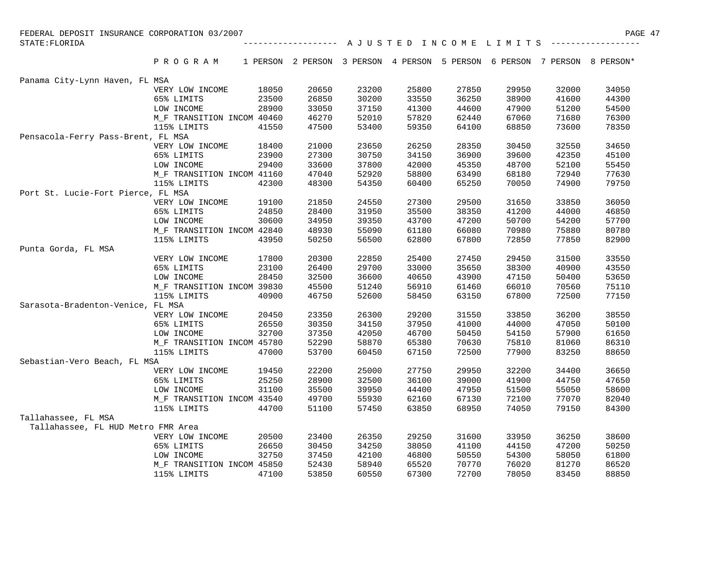| FEDERAL DEPOSIT INSURANCE CORPORATION 03/2007 |                               |                |                     |                |                |                |                                                                          |                | PAGE 47        |
|-----------------------------------------------|-------------------------------|----------------|---------------------|----------------|----------------|----------------|--------------------------------------------------------------------------|----------------|----------------|
| STATE: FLORIDA                                |                               |                | ------------------- |                |                |                | A J U S T E D I N C O M E L I M I T S                                    |                |                |
|                                               | PROGRAM                       |                |                     |                |                |                | 1 PERSON 2 PERSON 3 PERSON 4 PERSON 5 PERSON 6 PERSON 7 PERSON 8 PERSON* |                |                |
| Panama City-Lynn Haven, FL MSA                |                               |                |                     |                |                |                |                                                                          |                |                |
|                                               | VERY LOW INCOME               | 18050          | 20650               | 23200          | 25800          | 27850          | 29950                                                                    | 32000          | 34050          |
|                                               | 65% LIMITS                    | 23500          | 26850               | 30200          | 33550          | 36250          | 38900                                                                    | 41600          | 44300          |
|                                               | LOW INCOME                    | 28900          | 33050               | 37150          | 41300          | 44600          | 47900                                                                    | 51200          | 54500          |
|                                               | M_F TRANSITION INCOM 40460    |                | 46270               | 52010          | 57820          | 62440          | 67060                                                                    | 71680          | 76300          |
|                                               | 115% LIMITS                   | 41550          | 47500               | 53400          | 59350          | 64100          | 68850                                                                    | 73600          | 78350          |
| Pensacola-Ferry Pass-Brent, FL MSA            |                               |                |                     |                |                |                |                                                                          |                |                |
|                                               | VERY LOW INCOME               | 18400          | 21000               | 23650          | 26250          | 28350          | 30450                                                                    | 32550          | 34650          |
|                                               | 65% LIMITS                    | 23900          | 27300               | 30750          | 34150          | 36900          | 39600                                                                    | 42350          | 45100          |
|                                               | LOW INCOME                    | 29400          | 33600               | 37800          | 42000          | 45350          | 48700                                                                    | 52100          | 55450          |
|                                               | M_F TRANSITION INCOM 41160    |                | 47040               | 52920          | 58800          | 63490          | 68180                                                                    | 72940          | 77630          |
|                                               | 115% LIMITS                   | 42300          | 48300               | 54350          | 60400          | 65250          | 70050                                                                    | 74900          | 79750          |
| Port St. Lucie-Fort Pierce, FL MSA            |                               |                |                     |                |                |                |                                                                          |                |                |
|                                               | VERY LOW INCOME               | 19100          | 21850               | 24550          | 27300          | 29500          | 31650                                                                    | 33850          | 36050          |
|                                               | 65% LIMITS                    | 24850          | 28400               | 31950          | 35500          | 38350          | 41200                                                                    | 44000          | 46850          |
|                                               | LOW INCOME                    | 30600          | 34950               | 39350          | 43700          | 47200          | 50700                                                                    | 54200          | 57700          |
|                                               | M F TRANSITION INCOM 42840    |                | 48930               | 55090          | 61180          | 66080          | 70980                                                                    | 75880          | 80780          |
|                                               | 115% LIMITS                   | 43950          | 50250               | 56500          | 62800          | 67800          | 72850                                                                    | 77850          | 82900          |
| Punta Gorda, FL MSA                           |                               |                |                     |                |                |                |                                                                          |                |                |
|                                               | VERY LOW INCOME               | 17800          | 20300               | 22850          | 25400          | 27450          | 29450                                                                    | 31500          | 33550          |
|                                               | 65% LIMITS                    | 23100          | 26400               | 29700          | 33000          | 35650          | 38300                                                                    | 40900          | 43550          |
|                                               | LOW INCOME                    | 28450          | 32500               | 36600          | 40650          | 43900          | 47150                                                                    | 50400          | 53650          |
|                                               | M_F TRANSITION INCOM 39830    |                | 45500               | 51240          | 56910          | 61460          | 66010                                                                    | 70560          | 75110          |
|                                               | 115% LIMITS                   | 40900          | 46750               | 52600          | 58450          | 63150          | 67800                                                                    | 72500          | 77150          |
| Sarasota-Bradenton-Venice, FL MSA             |                               |                |                     |                |                |                |                                                                          |                |                |
|                                               | VERY LOW INCOME               | 20450          | 23350               | 26300          | 29200          | 31550          | 33850                                                                    | 36200          | 38550          |
|                                               | 65% LIMITS                    | 26550          | 30350               | 34150          | 37950          | 41000          | 44000                                                                    | 47050          | 50100          |
|                                               | LOW INCOME                    | 32700          | 37350               | 42050          | 46700          | 50450          | 54150                                                                    | 57900          | 61650          |
|                                               | M_F TRANSITION INCOM 45780    |                | 52290               | 58870          | 65380          | 70630          | 75810                                                                    | 81060          | 86310          |
|                                               | 115% LIMITS                   | 47000          | 53700               | 60450          | 67150          | 72500          | 77900                                                                    | 83250          | 88650          |
| Sebastian-Vero Beach, FL MSA                  |                               |                |                     |                |                |                |                                                                          |                |                |
|                                               | VERY LOW INCOME               | 19450          | 22200               | 25000          | 27750          | 29950          | 32200                                                                    | 34400          | 36650          |
|                                               | 65% LIMITS                    | 25250          | 28900               | 32500          | 36100          | 39000          | 41900                                                                    | 44750          | 47650          |
|                                               | LOW INCOME                    | 31100          | 35500               | 39950          | 44400          | 47950          | 51500                                                                    | 55050          | 58600          |
|                                               | M F TRANSITION INCOM 43540    |                | 49700               | 55930          | 62160          | 67130          | 72100                                                                    | 77070          | 82040          |
|                                               | 115% LIMITS                   | 44700          | 51100               | 57450          | 63850          | 68950          | 74050                                                                    | 79150          | 84300          |
| Tallahassee, FL MSA                           |                               |                |                     |                |                |                |                                                                          |                |                |
| Tallahassee, FL HUD Metro FMR Area            |                               |                |                     |                |                |                |                                                                          |                |                |
|                                               | VERY LOW INCOME<br>65% LIMITS | 20500<br>26650 | 23400               | 26350<br>34250 | 29250<br>38050 | 31600          | 33950<br>44150                                                           | 36250<br>47200 | 38600<br>50250 |
|                                               | LOW INCOME                    | 32750          | 30450<br>37450      | 42100          | 46800          | 41100<br>50550 | 54300                                                                    | 58050          | 61800          |
|                                               | M_F TRANSITION INCOM 45850    |                | 52430               | 58940          | 65520          | 70770          | 76020                                                                    | 81270          | 86520          |
|                                               | 115% LIMITS                   | 47100          | 53850               | 60550          | 67300          | 72700          | 78050                                                                    | 83450          | 88850          |
|                                               |                               |                |                     |                |                |                |                                                                          |                |                |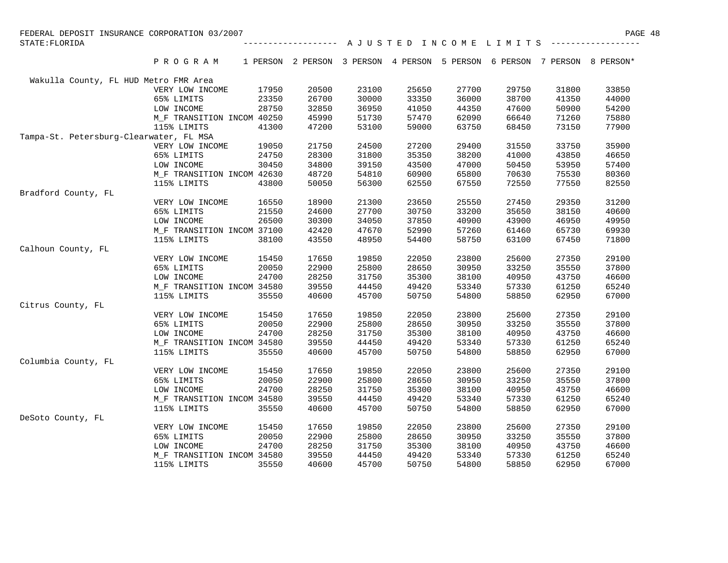| FEDERAL DEPOSIT INSURANCE CORPORATION 03/2007 |                            |       |       |       |                                                                          |       |                                                                             |       |       |
|-----------------------------------------------|----------------------------|-------|-------|-------|--------------------------------------------------------------------------|-------|-----------------------------------------------------------------------------|-------|-------|
| STATE: FLORIDA                                |                            |       |       |       |                                                                          |       | ------------------ A J U S T E D I N C O M E L I M I T S ------------------ |       |       |
|                                               | PROGRAM                    |       |       |       | 1 PERSON 2 PERSON 3 PERSON 4 PERSON 5 PERSON 6 PERSON 7 PERSON 8 PERSON* |       |                                                                             |       |       |
| Wakulla County, FL HUD Metro FMR Area         |                            |       |       |       |                                                                          |       |                                                                             |       |       |
|                                               | VERY LOW INCOME            | 17950 | 20500 | 23100 | 25650                                                                    | 27700 | 29750                                                                       | 31800 | 33850 |
|                                               | 65% LIMITS                 | 23350 | 26700 | 30000 | 33350                                                                    | 36000 | 38700                                                                       | 41350 | 44000 |
|                                               | LOW INCOME                 | 28750 | 32850 | 36950 | 41050                                                                    | 44350 | 47600                                                                       | 50900 | 54200 |
|                                               | M F TRANSITION INCOM 40250 |       | 45990 | 51730 | 57470                                                                    | 62090 | 66640                                                                       | 71260 | 75880 |
|                                               | 115% LIMITS                | 41300 | 47200 | 53100 | 59000                                                                    | 63750 | 68450                                                                       | 73150 | 77900 |
| Tampa-St. Petersburg-Clearwater, FL MSA       |                            |       |       |       |                                                                          |       |                                                                             |       |       |
|                                               | VERY LOW INCOME            | 19050 | 21750 | 24500 | 27200                                                                    | 29400 | 31550                                                                       | 33750 | 35900 |
|                                               | 65% LIMITS                 | 24750 | 28300 | 31800 | 35350                                                                    | 38200 | 41000                                                                       | 43850 | 46650 |
|                                               | LOW INCOME                 | 30450 | 34800 | 39150 | 43500                                                                    | 47000 | 50450                                                                       | 53950 | 57400 |
|                                               | M F TRANSITION INCOM 42630 |       | 48720 | 54810 | 60900                                                                    | 65800 | 70630                                                                       | 75530 | 80360 |
|                                               | 115% LIMITS                | 43800 | 50050 | 56300 | 62550                                                                    | 67550 | 72550                                                                       | 77550 | 82550 |
| Bradford County, FL                           |                            |       |       |       |                                                                          |       |                                                                             |       |       |
|                                               | VERY LOW INCOME            | 16550 | 18900 | 21300 | 23650                                                                    | 25550 | 27450                                                                       | 29350 | 31200 |
|                                               | 65% LIMITS                 | 21550 | 24600 | 27700 | 30750                                                                    | 33200 | 35650                                                                       | 38150 | 40600 |
|                                               | LOW INCOME                 | 26500 | 30300 | 34050 | 37850                                                                    | 40900 | 43900                                                                       | 46950 | 49950 |
|                                               | M_F TRANSITION INCOM 37100 |       | 42420 | 47670 | 52990                                                                    | 57260 | 61460                                                                       | 65730 | 69930 |
|                                               | 115% LIMITS                | 38100 | 43550 | 48950 | 54400                                                                    | 58750 | 63100                                                                       | 67450 | 71800 |
| Calhoun County, FL                            |                            |       |       |       |                                                                          |       |                                                                             |       |       |
|                                               | VERY LOW INCOME            | 15450 | 17650 | 19850 | 22050                                                                    | 23800 | 25600                                                                       | 27350 | 29100 |
|                                               | 65% LIMITS                 | 20050 | 22900 | 25800 | 28650                                                                    | 30950 | 33250                                                                       | 35550 | 37800 |
|                                               | LOW INCOME                 | 24700 | 28250 | 31750 | 35300                                                                    | 38100 | 40950                                                                       | 43750 | 46600 |
|                                               | M_F TRANSITION INCOM 34580 |       | 39550 | 44450 | 49420                                                                    | 53340 | 57330                                                                       | 61250 | 65240 |
|                                               | 115% LIMITS                | 35550 | 40600 | 45700 | 50750                                                                    | 54800 | 58850                                                                       | 62950 | 67000 |
| Citrus County, FL                             |                            |       |       |       |                                                                          |       |                                                                             |       |       |
|                                               | VERY LOW INCOME            | 15450 | 17650 | 19850 | 22050                                                                    | 23800 | 25600                                                                       | 27350 | 29100 |
|                                               | 65% LIMITS                 | 20050 | 22900 | 25800 | 28650                                                                    | 30950 | 33250                                                                       | 35550 | 37800 |
|                                               | LOW INCOME                 | 24700 | 28250 | 31750 | 35300                                                                    | 38100 | 40950                                                                       | 43750 | 46600 |
|                                               | M F TRANSITION INCOM 34580 |       | 39550 | 44450 | 49420                                                                    | 53340 | 57330                                                                       | 61250 | 65240 |
|                                               | 115% LIMITS                | 35550 | 40600 | 45700 | 50750                                                                    | 54800 | 58850                                                                       | 62950 | 67000 |
| Columbia County, FL                           |                            |       |       |       |                                                                          |       |                                                                             |       |       |
|                                               | VERY LOW INCOME            | 15450 | 17650 | 19850 | 22050                                                                    | 23800 | 25600                                                                       | 27350 | 29100 |
|                                               | 65% LIMITS                 | 20050 | 22900 | 25800 | 28650                                                                    | 30950 | 33250                                                                       | 35550 | 37800 |
|                                               | LOW INCOME                 | 24700 | 28250 | 31750 | 35300                                                                    | 38100 | 40950                                                                       | 43750 | 46600 |
|                                               | M_F TRANSITION INCOM 34580 |       | 39550 | 44450 | 49420                                                                    | 53340 | 57330                                                                       | 61250 | 65240 |
|                                               | 115% LIMITS                | 35550 | 40600 | 45700 | 50750                                                                    | 54800 | 58850                                                                       | 62950 | 67000 |
| DeSoto County, FL                             |                            |       |       |       |                                                                          |       |                                                                             |       |       |
|                                               | VERY LOW INCOME            | 15450 | 17650 | 19850 | 22050                                                                    | 23800 | 25600                                                                       | 27350 | 29100 |
|                                               | 65% LIMITS                 | 20050 | 22900 | 25800 | 28650                                                                    | 30950 | 33250                                                                       | 35550 | 37800 |
|                                               | LOW INCOME                 | 24700 | 28250 | 31750 | 35300                                                                    | 38100 | 40950                                                                       | 43750 | 46600 |
|                                               | M_F TRANSITION INCOM 34580 |       | 39550 | 44450 | 49420                                                                    | 53340 | 57330                                                                       | 61250 | 65240 |
|                                               | 115% LIMITS                | 35550 | 40600 | 45700 | 50750                                                                    | 54800 | 58850                                                                       | 62950 | 67000 |
|                                               |                            |       |       |       |                                                                          |       |                                                                             |       |       |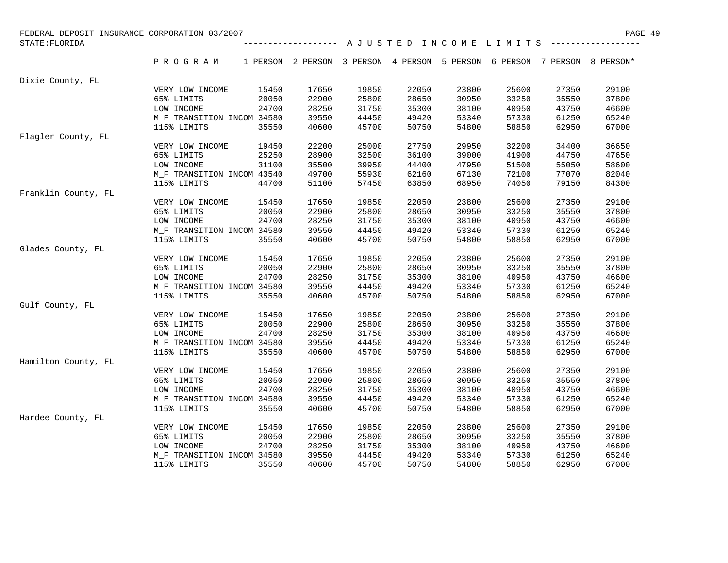| FEDERAL DEPOSIT INSURANCE CORPORATION 03/2007 |                            |       |                                                                          |       |       |       |       |       | PAGE 49                                                 |
|-----------------------------------------------|----------------------------|-------|--------------------------------------------------------------------------|-------|-------|-------|-------|-------|---------------------------------------------------------|
| STATE: FLORIDA                                |                            |       | --------------------                                                     |       |       |       |       |       | A J U S T E D I N C O M E L I M I T S ----------------- |
|                                               | PROGRAM                    |       | 1 PERSON 2 PERSON 3 PERSON 4 PERSON 5 PERSON 6 PERSON 7 PERSON 8 PERSON* |       |       |       |       |       |                                                         |
| Dixie County, FL                              |                            |       |                                                                          |       |       |       |       |       |                                                         |
|                                               | VERY LOW INCOME            | 15450 | 17650                                                                    | 19850 | 22050 | 23800 | 25600 | 27350 | 29100                                                   |
|                                               | 65% LIMITS                 | 20050 | 22900                                                                    | 25800 | 28650 | 30950 | 33250 | 35550 | 37800                                                   |
|                                               | LOW INCOME                 | 24700 | 28250                                                                    | 31750 | 35300 | 38100 | 40950 | 43750 | 46600                                                   |
|                                               | M F TRANSITION INCOM 34580 |       | 39550                                                                    | 44450 | 49420 | 53340 | 57330 | 61250 | 65240                                                   |
|                                               | 115% LIMITS                | 35550 | 40600                                                                    | 45700 | 50750 | 54800 | 58850 | 62950 | 67000                                                   |
| Flagler County, FL                            |                            |       |                                                                          |       |       |       |       |       |                                                         |
|                                               | VERY LOW INCOME            | 19450 | 22200                                                                    | 25000 | 27750 | 29950 | 32200 | 34400 | 36650                                                   |
|                                               | 65% LIMITS                 | 25250 | 28900                                                                    | 32500 | 36100 | 39000 | 41900 | 44750 | 47650                                                   |
|                                               | LOW INCOME                 | 31100 | 35500                                                                    | 39950 | 44400 | 47950 | 51500 | 55050 | 58600                                                   |
|                                               | M F TRANSITION INCOM 43540 |       | 49700                                                                    | 55930 | 62160 | 67130 | 72100 | 77070 | 82040                                                   |
|                                               | 115% LIMITS                | 44700 | 51100                                                                    | 57450 | 63850 | 68950 | 74050 | 79150 | 84300                                                   |
| Franklin County, FL                           |                            |       |                                                                          |       |       |       |       |       |                                                         |
|                                               | VERY LOW INCOME            | 15450 | 17650                                                                    | 19850 | 22050 | 23800 | 25600 | 27350 | 29100                                                   |
|                                               | 65% LIMITS                 | 20050 | 22900                                                                    | 25800 | 28650 | 30950 | 33250 | 35550 | 37800                                                   |
|                                               | LOW INCOME                 | 24700 | 28250                                                                    | 31750 | 35300 | 38100 | 40950 | 43750 | 46600                                                   |
|                                               | M F TRANSITION INCOM 34580 |       | 39550                                                                    | 44450 | 49420 | 53340 | 57330 | 61250 | 65240                                                   |
|                                               | 115% LIMITS                | 35550 | 40600                                                                    | 45700 | 50750 | 54800 | 58850 | 62950 | 67000                                                   |
| Glades County, FL                             |                            |       |                                                                          |       |       |       |       |       |                                                         |
|                                               | VERY LOW INCOME            | 15450 | 17650                                                                    | 19850 | 22050 | 23800 | 25600 | 27350 | 29100                                                   |
|                                               | 65% LIMITS                 | 20050 | 22900                                                                    | 25800 | 28650 | 30950 | 33250 | 35550 | 37800                                                   |
|                                               | LOW INCOME                 | 24700 | 28250                                                                    | 31750 | 35300 | 38100 | 40950 | 43750 | 46600                                                   |
|                                               | M_F TRANSITION INCOM 34580 |       | 39550                                                                    | 44450 | 49420 | 53340 | 57330 | 61250 | 65240                                                   |
|                                               | 115% LIMITS                | 35550 | 40600                                                                    | 45700 | 50750 | 54800 | 58850 | 62950 | 67000                                                   |
| Gulf County, FL                               |                            |       |                                                                          |       |       |       |       |       |                                                         |
|                                               | VERY LOW INCOME            | 15450 | 17650                                                                    | 19850 | 22050 | 23800 | 25600 | 27350 | 29100                                                   |
|                                               | 65% LIMITS                 | 20050 | 22900                                                                    | 25800 | 28650 | 30950 | 33250 | 35550 | 37800                                                   |
|                                               | LOW INCOME                 | 24700 | 28250                                                                    | 31750 | 35300 | 38100 | 40950 | 43750 | 46600                                                   |
|                                               | M_F TRANSITION INCOM 34580 |       | 39550                                                                    | 44450 | 49420 | 53340 | 57330 | 61250 | 65240                                                   |
|                                               | 115% LIMITS                | 35550 | 40600                                                                    | 45700 | 50750 | 54800 | 58850 | 62950 | 67000                                                   |
| Hamilton County, FL                           |                            |       |                                                                          |       |       |       |       |       |                                                         |
|                                               | VERY LOW INCOME            | 15450 | 17650                                                                    | 19850 | 22050 | 23800 | 25600 | 27350 | 29100                                                   |
|                                               | 65% LIMITS                 | 20050 | 22900                                                                    | 25800 | 28650 | 30950 | 33250 | 35550 | 37800                                                   |
|                                               | LOW INCOME                 | 24700 | 28250                                                                    | 31750 | 35300 | 38100 | 40950 | 43750 | 46600                                                   |
|                                               | M_F TRANSITION INCOM 34580 |       | 39550                                                                    | 44450 | 49420 | 53340 | 57330 | 61250 | 65240                                                   |
|                                               | 115% LIMITS                | 35550 | 40600                                                                    | 45700 | 50750 | 54800 | 58850 | 62950 | 67000                                                   |
| Hardee County, FL                             |                            |       |                                                                          |       |       |       |       |       |                                                         |
|                                               | VERY LOW INCOME            | 15450 | 17650                                                                    | 19850 | 22050 | 23800 | 25600 | 27350 | 29100                                                   |
|                                               | 65% LIMITS                 | 20050 | 22900                                                                    | 25800 | 28650 | 30950 | 33250 | 35550 | 37800                                                   |
|                                               | LOW INCOME                 | 24700 | 28250                                                                    | 31750 | 35300 | 38100 | 40950 | 43750 | 46600                                                   |
|                                               | M F TRANSITION INCOM 34580 |       | 39550                                                                    | 44450 | 49420 | 53340 | 57330 | 61250 | 65240                                                   |
|                                               | 115% LIMITS                | 35550 | 40600                                                                    | 45700 | 50750 | 54800 | 58850 | 62950 | 67000                                                   |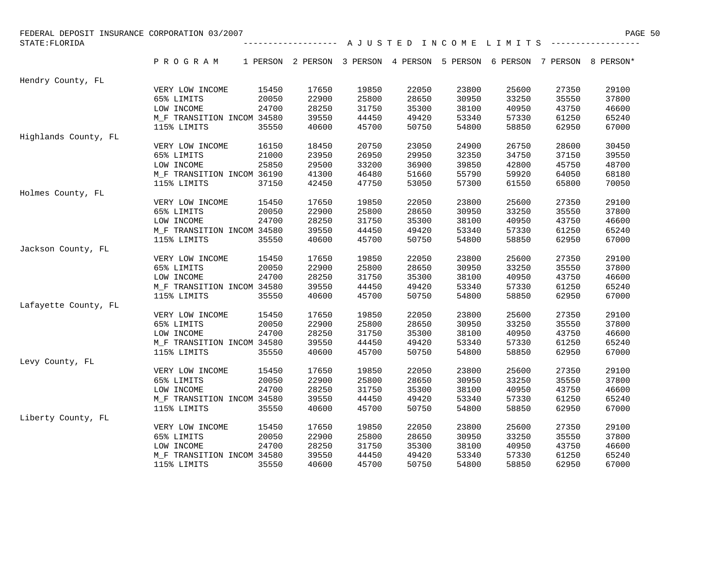| FEDERAL DEPOSIT INSURANCE CORPORATION 03/2007 |                            |       |                                                                          |       |                                       |       |       |       | PAGE 50 |
|-----------------------------------------------|----------------------------|-------|--------------------------------------------------------------------------|-------|---------------------------------------|-------|-------|-------|---------|
| STATE: FLORIDA                                |                            |       | -------------------                                                      |       | A J U S T E D I N C O M E L I M I T S |       |       |       |         |
|                                               | PROGRAM                    |       | 1 PERSON 2 PERSON 3 PERSON 4 PERSON 5 PERSON 6 PERSON 7 PERSON 8 PERSON* |       |                                       |       |       |       |         |
| Hendry County, FL                             |                            |       |                                                                          |       |                                       |       |       |       |         |
|                                               | VERY LOW INCOME            | 15450 | 17650                                                                    | 19850 | 22050                                 | 23800 | 25600 | 27350 | 29100   |
|                                               | 65% LIMITS                 | 20050 | 22900                                                                    | 25800 | 28650                                 | 30950 | 33250 | 35550 | 37800   |
|                                               | LOW INCOME                 | 24700 | 28250                                                                    | 31750 | 35300                                 | 38100 | 40950 | 43750 | 46600   |
|                                               | M_F TRANSITION INCOM 34580 |       | 39550                                                                    | 44450 | 49420                                 | 53340 | 57330 | 61250 | 65240   |
|                                               | 115% LIMITS                | 35550 | 40600                                                                    | 45700 | 50750                                 | 54800 | 58850 | 62950 | 67000   |
| Highlands County, FL                          |                            |       |                                                                          |       |                                       |       |       |       |         |
|                                               | VERY LOW INCOME            | 16150 | 18450                                                                    | 20750 | 23050                                 | 24900 | 26750 | 28600 | 30450   |
|                                               | 65% LIMITS                 | 21000 | 23950                                                                    | 26950 | 29950                                 | 32350 | 34750 | 37150 | 39550   |
|                                               | LOW INCOME                 | 25850 | 29500                                                                    | 33200 | 36900                                 | 39850 | 42800 | 45750 | 48700   |
|                                               | M_F TRANSITION INCOM 36190 |       | 41300                                                                    | 46480 | 51660                                 | 55790 | 59920 | 64050 | 68180   |
|                                               | 115% LIMITS                | 37150 | 42450                                                                    | 47750 | 53050                                 | 57300 | 61550 | 65800 | 70050   |
| Holmes County, FL                             |                            |       |                                                                          |       |                                       |       |       |       |         |
|                                               | VERY LOW INCOME            | 15450 | 17650                                                                    | 19850 | 22050                                 | 23800 | 25600 | 27350 | 29100   |
|                                               | 65% LIMITS                 | 20050 | 22900                                                                    | 25800 | 28650                                 | 30950 | 33250 | 35550 | 37800   |
|                                               | LOW INCOME                 | 24700 | 28250                                                                    | 31750 | 35300                                 | 38100 | 40950 | 43750 | 46600   |
|                                               | M_F TRANSITION INCOM 34580 |       | 39550                                                                    | 44450 | 49420                                 | 53340 | 57330 | 61250 | 65240   |
|                                               | 115% LIMITS                | 35550 | 40600                                                                    | 45700 | 50750                                 | 54800 | 58850 | 62950 | 67000   |
| Jackson County, FL                            |                            |       |                                                                          |       |                                       |       |       |       |         |
|                                               | VERY LOW INCOME            | 15450 | 17650                                                                    | 19850 | 22050                                 | 23800 | 25600 | 27350 | 29100   |
|                                               | 65% LIMITS                 | 20050 | 22900                                                                    | 25800 | 28650                                 | 30950 | 33250 | 35550 | 37800   |
|                                               | LOW INCOME                 | 24700 | 28250                                                                    | 31750 | 35300                                 | 38100 | 40950 | 43750 | 46600   |
|                                               | M_F TRANSITION INCOM 34580 |       | 39550                                                                    | 44450 | 49420                                 | 53340 | 57330 | 61250 | 65240   |
|                                               | 115% LIMITS                | 35550 | 40600                                                                    | 45700 | 50750                                 | 54800 | 58850 | 62950 | 67000   |
| Lafayette County, FL                          |                            |       |                                                                          |       |                                       |       |       |       |         |
|                                               | VERY LOW INCOME            | 15450 | 17650                                                                    | 19850 | 22050                                 | 23800 | 25600 | 27350 | 29100   |
|                                               | 65% LIMITS                 | 20050 | 22900                                                                    | 25800 | 28650                                 | 30950 | 33250 | 35550 | 37800   |
|                                               | LOW INCOME                 | 24700 | 28250                                                                    | 31750 | 35300                                 | 38100 | 40950 | 43750 | 46600   |
|                                               | M_F TRANSITION INCOM 34580 |       | 39550                                                                    | 44450 | 49420                                 | 53340 | 57330 | 61250 | 65240   |
|                                               | 115% LIMITS                | 35550 | 40600                                                                    | 45700 | 50750                                 | 54800 | 58850 | 62950 | 67000   |
| Levy County, FL                               |                            |       |                                                                          |       |                                       |       |       |       |         |
|                                               | VERY LOW INCOME            | 15450 | 17650                                                                    | 19850 | 22050                                 | 23800 | 25600 | 27350 | 29100   |
|                                               | 65% LIMITS                 | 20050 | 22900                                                                    | 25800 | 28650                                 | 30950 | 33250 | 35550 | 37800   |
|                                               | LOW INCOME                 | 24700 | 28250                                                                    | 31750 | 35300                                 | 38100 | 40950 | 43750 | 46600   |
|                                               | M_F TRANSITION INCOM 34580 |       | 39550                                                                    | 44450 | 49420                                 | 53340 | 57330 | 61250 | 65240   |
|                                               | 115% LIMITS                | 35550 | 40600                                                                    | 45700 | 50750                                 | 54800 | 58850 | 62950 | 67000   |
| Liberty County, FL                            |                            |       |                                                                          |       |                                       |       |       |       |         |
|                                               | VERY LOW INCOME            | 15450 | 17650                                                                    | 19850 | 22050                                 | 23800 | 25600 | 27350 | 29100   |
|                                               | 65% LIMITS                 | 20050 | 22900                                                                    | 25800 | 28650                                 | 30950 | 33250 | 35550 | 37800   |
|                                               | LOW INCOME                 | 24700 | 28250                                                                    | 31750 | 35300                                 | 38100 | 40950 | 43750 | 46600   |
|                                               | M_F TRANSITION INCOM 34580 |       | 39550                                                                    | 44450 | 49420                                 | 53340 | 57330 | 61250 | 65240   |
|                                               | 115% LIMITS                | 35550 | 40600                                                                    | 45700 | 50750                                 | 54800 | 58850 | 62950 | 67000   |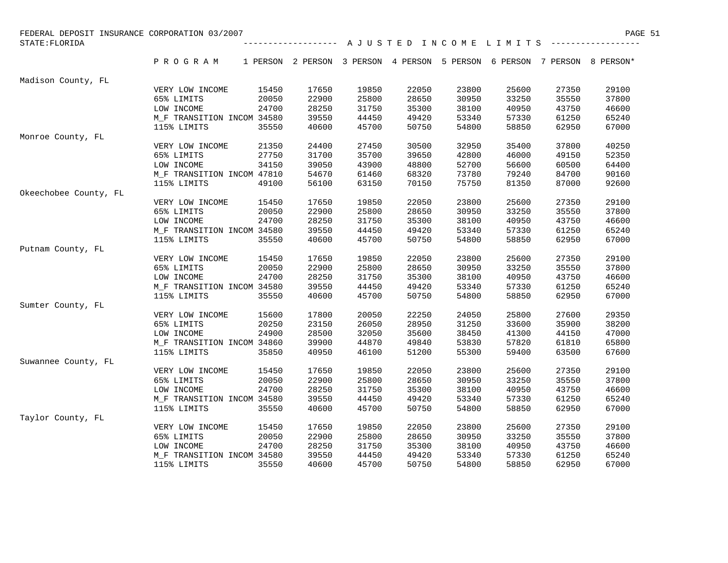| FEDERAL DEPOSIT INSURANCE CORPORATION 03/2007 |                               |                |                                                                          |       |       |       |       |                | PAGE 51 |
|-----------------------------------------------|-------------------------------|----------------|--------------------------------------------------------------------------|-------|-------|-------|-------|----------------|---------|
| STATE: FLORIDA                                |                               |                |                                                                          |       |       |       |       |                |         |
|                                               | PROGRAM                       |                | 1 PERSON 2 PERSON 3 PERSON 4 PERSON 5 PERSON 6 PERSON 7 PERSON 8 PERSON* |       |       |       |       |                |         |
| Madison County, FL                            |                               |                |                                                                          |       |       |       |       |                |         |
|                                               | VERY LOW INCOME               | 15450          | 17650                                                                    | 19850 | 22050 | 23800 | 25600 | 27350          | 29100   |
|                                               | 65% LIMITS                    | 20050          | 22900                                                                    | 25800 | 28650 | 30950 | 33250 | 35550          | 37800   |
|                                               | LOW INCOME                    | 24700          | 28250                                                                    | 31750 | 35300 | 38100 | 40950 | 43750          | 46600   |
|                                               | M F TRANSITION INCOM 34580    |                | 39550                                                                    | 44450 | 49420 | 53340 | 57330 | 61250          | 65240   |
|                                               | 115% LIMITS                   | 35550          | 40600                                                                    | 45700 | 50750 | 54800 | 58850 | 62950          | 67000   |
| Monroe County, FL                             |                               |                |                                                                          |       |       |       |       |                |         |
|                                               | VERY LOW INCOME               | 21350          | 24400                                                                    | 27450 | 30500 | 32950 | 35400 | 37800          | 40250   |
|                                               | 65% LIMITS                    | 27750          | 31700                                                                    | 35700 | 39650 | 42800 | 46000 | 49150          | 52350   |
|                                               | LOW INCOME                    | 34150          | 39050                                                                    | 43900 | 48800 | 52700 | 56600 | 60500          | 64400   |
|                                               | M F TRANSITION INCOM 47810    |                | 54670                                                                    | 61460 | 68320 | 73780 | 79240 | 84700          | 90160   |
|                                               | 115% LIMITS                   | 49100          | 56100                                                                    | 63150 | 70150 | 75750 | 81350 | 87000          | 92600   |
| Okeechobee County, FL                         |                               |                |                                                                          |       |       |       |       |                |         |
|                                               | VERY LOW INCOME               | 15450          | 17650                                                                    | 19850 | 22050 | 23800 | 25600 | 27350          | 29100   |
|                                               | 65% LIMITS                    | 20050          | 22900                                                                    | 25800 | 28650 | 30950 | 33250 | 35550          | 37800   |
|                                               | LOW INCOME                    | 24700          | 28250                                                                    | 31750 | 35300 | 38100 | 40950 | 43750          | 46600   |
|                                               | M F TRANSITION INCOM 34580    |                | 39550                                                                    | 44450 | 49420 | 53340 | 57330 | 61250          | 65240   |
|                                               | 115% LIMITS                   | 35550          | 40600                                                                    | 45700 | 50750 | 54800 | 58850 | 62950          | 67000   |
| Putnam County, FL                             |                               |                |                                                                          |       |       |       |       |                |         |
|                                               | VERY LOW INCOME               | 15450          | 17650                                                                    | 19850 | 22050 | 23800 | 25600 | 27350          | 29100   |
|                                               | 65% LIMITS                    | 20050          | 22900                                                                    | 25800 | 28650 | 30950 | 33250 | 35550          | 37800   |
|                                               | LOW INCOME                    | 24700          | 28250                                                                    | 31750 | 35300 | 38100 | 40950 | 43750          | 46600   |
|                                               | M F TRANSITION INCOM 34580    |                | 39550                                                                    | 44450 | 49420 | 53340 | 57330 | 61250          | 65240   |
|                                               | 115% LIMITS                   | 35550          | 40600                                                                    | 45700 | 50750 | 54800 | 58850 | 62950          | 67000   |
| Sumter County, FL                             |                               |                |                                                                          |       |       |       |       |                |         |
|                                               | VERY LOW INCOME               | 15600          | 17800                                                                    | 20050 | 22250 | 24050 | 25800 | 27600          | 29350   |
|                                               | 65% LIMITS                    | 20250          | 23150                                                                    | 26050 | 28950 | 31250 | 33600 | 35900          | 38200   |
|                                               | LOW INCOME                    | 24900          | 28500                                                                    | 32050 | 35600 | 38450 | 41300 | 44150          | 47000   |
|                                               | M_F TRANSITION INCOM 34860    |                | 39900                                                                    | 44870 | 49840 | 53830 | 57820 | 61810          | 65800   |
|                                               | 115% LIMITS                   | 35850          | 40950                                                                    | 46100 | 51200 | 55300 | 59400 | 63500          | 67600   |
| Suwannee County, FL                           |                               |                |                                                                          |       |       |       |       |                |         |
|                                               | VERY LOW INCOME               | 15450          | 17650                                                                    | 19850 | 22050 | 23800 | 25600 | 27350          | 29100   |
|                                               | 65% LIMITS                    | 20050          | 22900                                                                    | 25800 | 28650 | 30950 | 33250 | 35550          | 37800   |
|                                               | LOW INCOME                    | 24700          | 28250                                                                    | 31750 | 35300 | 38100 | 40950 | 43750          | 46600   |
|                                               | M F TRANSITION INCOM 34580    |                | 39550                                                                    | 44450 | 49420 | 53340 | 57330 | 61250          | 65240   |
| Taylor County, FL                             | 115% LIMITS                   | 35550          | 40600                                                                    | 45700 | 50750 | 54800 | 58850 | 62950          | 67000   |
|                                               |                               |                | 17650                                                                    | 19850 | 22050 | 23800 | 25600 |                | 29100   |
|                                               | VERY LOW INCOME<br>65% LIMITS | 15450<br>20050 | 22900                                                                    | 25800 | 28650 | 30950 | 33250 | 27350<br>35550 | 37800   |
|                                               | LOW INCOME                    | 24700          | 28250                                                                    | 31750 | 35300 | 38100 | 40950 | 43750          | 46600   |
|                                               | M F TRANSITION INCOM 34580    |                | 39550                                                                    | 44450 | 49420 | 53340 | 57330 | 61250          | 65240   |
|                                               | 115% LIMITS                   | 35550          | 40600                                                                    | 45700 | 50750 | 54800 | 58850 | 62950          | 67000   |
|                                               |                               |                |                                                                          |       |       |       |       |                |         |